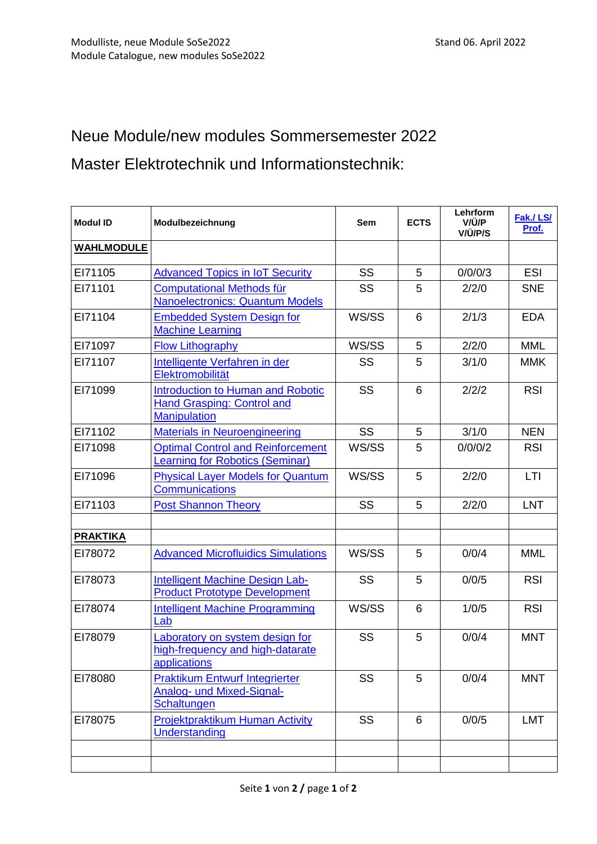## Neue Module/new modules Sommersemester 2022

Master Elektrotechnik und Informationstechnik:

| <b>Modul ID</b>   | Modulbezeichnung                                                                                     | <b>Sem</b> | <b>ECTS</b> | Lehrform<br>V/Ü/P<br>V/Ü/P/S | Fak./LS/<br>Prof. |
|-------------------|------------------------------------------------------------------------------------------------------|------------|-------------|------------------------------|-------------------|
| <b>WAHLMODULE</b> |                                                                                                      |            |             |                              |                   |
| EI71105           | <b>Advanced Topics in IoT Security</b>                                                               | <b>SS</b>  | 5           | 0/0/0/3                      | <b>ESI</b>        |
| EI71101           | <b>Computational Methods für</b><br><b>Nanoelectronics: Quantum Models</b>                           | <b>SS</b>  | 5           | 2/2/0                        | <b>SNE</b>        |
| EI71104           | <b>Embedded System Design for</b><br><b>Machine Learning</b>                                         | WS/SS      | 6           | 2/1/3                        | <b>EDA</b>        |
| EI71097           | <b>Flow Lithography</b>                                                                              | WS/SS      | 5           | 2/2/0                        | <b>MML</b>        |
| EI71107           | Intelligente Verfahren in der<br>Elektromobilität                                                    | <b>SS</b>  | 5           | 3/1/0                        | <b>MMK</b>        |
| EI71099           | <b>Introduction to Human and Robotic</b><br><b>Hand Grasping: Control and</b><br><b>Manipulation</b> | <b>SS</b>  | 6           | 2/2/2                        | <b>RSI</b>        |
| EI71102           | <b>Materials in Neuroengineering</b>                                                                 | <b>SS</b>  | 5           | 3/1/0                        | <b>NEN</b>        |
| EI71098           | <b>Optimal Control and Reinforcement</b><br><b>Learning for Robotics (Seminar)</b>                   | WS/SS      | 5           | 0/0/0/2                      | <b>RSI</b>        |
| EI71096           | <b>Physical Layer Models for Quantum</b><br><b>Communications</b>                                    | WS/SS      | 5           | 2/2/0                        | LTI               |
| EI71103           | <b>Post Shannon Theory</b>                                                                           | SS         | 5           | 2/2/0                        | <b>LNT</b>        |
| <b>PRAKTIKA</b>   |                                                                                                      |            |             |                              |                   |
| EI78072           | <b>Advanced Microfluidics Simulations</b>                                                            | WS/SS      | 5           | 0/0/4                        | <b>MML</b>        |
| EI78073           | Intelligent Machine Design Lab-<br><b>Product Prototype Development</b>                              | SS         | 5           | 0/0/5                        | <b>RSI</b>        |
| EI78074           | <b>Intelligent Machine Programming</b><br>Lab                                                        | WS/SS      | 6           | 1/0/5                        | <b>RSI</b>        |
| EI78079           | Laboratory on system design for<br>high-frequency and high-datarate<br>applications                  | SS         | 5           | 0/0/4                        | <b>MNT</b>        |
| EI78080           | <b>Praktikum Entwurf Integrierter</b><br>Analog- und Mixed-Signal-<br>Schaltungen                    | <b>SS</b>  | 5           | 0/0/4                        | <b>MNT</b>        |
| EI78075           | <b>Projektpraktikum Human Activity</b><br>Understanding                                              | <b>SS</b>  | 6           | 0/0/5                        | <b>LMT</b>        |
|                   |                                                                                                      |            |             |                              |                   |
|                   |                                                                                                      |            |             |                              |                   |